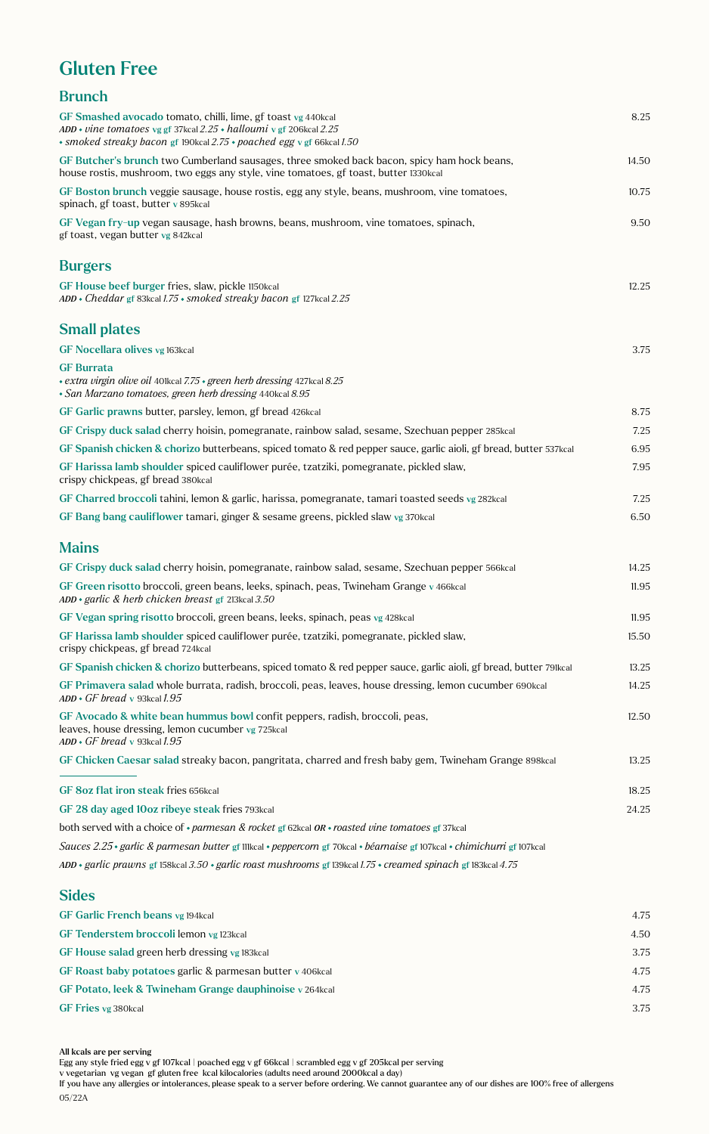## Gluten Free

| <b>Brunch</b>                                                                                                                                                                                                   |       |
|-----------------------------------------------------------------------------------------------------------------------------------------------------------------------------------------------------------------|-------|
| GF Smashed avocado tomato, chilli, lime, gf toast vg 440kcal<br>ADD • vine tomatoes vg gf 37kcal $2.25$ • halloumi v gf 206kcal $2.25$<br>• smoked streaky bacon gf 190kcal 2.75 • poached egg v gf 66kcal 1.50 | 8.25  |
| GF Butcher's brunch two Cumberland sausages, three smoked back bacon, spicy ham hock beans,<br>house rostis, mushroom, two eggs any style, vine tomatoes, gf toast, butter 1330kcal                             | 14.50 |
| GF Boston brunch veggie sausage, house rostis, egg any style, beans, mushroom, vine tomatoes,<br>spinach, gf toast, butter v 895kcal                                                                            | 10.75 |
| GF Vegan fry-up vegan sausage, hash browns, beans, mushroom, vine tomatoes, spinach,<br>gf toast, vegan butter vg 842kcal                                                                                       | 9.50  |
| <b>Burgers</b>                                                                                                                                                                                                  |       |
| GF House beef burger fries, slaw, pickle 1150kcal<br>ADD • Cheddar gf 83kcal 1.75 • smoked streaky bacon gf 127kcal 2.25                                                                                        | 12.25 |
| <b>Small plates</b>                                                                                                                                                                                             |       |
| GF Nocellara olives vg 163kcal                                                                                                                                                                                  | 3.75  |
| <b>GF</b> Burrata<br>• extra virgin olive oil 401kcal 7.75 • green herb dressing 427kcal 8.25<br>• San Marzano tomatoes, green herb dressing 440kcal 8.95                                                       |       |
| GF Garlic prawns butter, parsley, lemon, gf bread 426kcal                                                                                                                                                       | 8.75  |
| GF Crispy duck salad cherry hoisin, pomegranate, rainbow salad, sesame, Szechuan pepper 285 kcal                                                                                                                | 7.25  |
| GF Spanish chicken & chorizo butterbeans, spiced tomato & red pepper sauce, garlic aioli, gf bread, butter 537kcal                                                                                              | 6.95  |
| GF Harissa lamb shoulder spiced cauliflower purée, tzatziki, pomegranate, pickled slaw,<br>crispy chickpeas, gf bread 380kcal                                                                                   | 7.95  |
| GF Charred broccoli tahini, lemon & garlic, harissa, pomegranate, tamari toasted seeds vg 282kcal                                                                                                               | 7.25  |
| GF Bang bang cauliflower tamari, ginger & sesame greens, pickled slaw vg 370kcal                                                                                                                                | 6.50  |
| <b>Mains</b>                                                                                                                                                                                                    |       |
| GF Crispy duck salad cherry hoisin, pomegranate, rainbow salad, sesame, Szechuan pepper 566 kcal                                                                                                                | 14.25 |
| GF Green risotto broccoli, green beans, leeks, spinach, peas, Twineham Grange v 466kcal<br>$ADD \cdot$ garlic & herb chicken breast gf 213 kcal 3.50                                                            | 11.95 |
| GF Vegan spring risotto broccoli, green beans, leeks, spinach, peas vg 428kcal                                                                                                                                  | 11.95 |
| GF Harissa lamb shoulder spiced cauliflower purée, tzatziki, pomegranate, pickled slaw,<br>crispy chickpeas, gf bread 724kcal                                                                                   | 15.50 |
| GF Spanish chicken & chorizo butterbeans, spiced tomato & red pepper sauce, garlic aioli, gf bread, butter 79lkcal                                                                                              | 13.25 |
| GF Primavera salad whole burrata, radish, broccoli, peas, leaves, house dressing, lemon cucumber 690kcal<br>$ADD \cdot GF$ bread v 93kcal 1.95                                                                  | 14.25 |
| GF Avocado & white bean hummus bowl confit peppers, radish, broccoli, peas,<br>leaves, house dressing, lemon cucumber vg 725kcal<br>$ADD \cdot GF$ bread v 93kcal 1.95                                          | 12.50 |
| GF Chicken Caesar salad streaky bacon, pangritata, charred and fresh baby gem, Twineham Grange 898kcal                                                                                                          | 13.25 |
| GF 8oz flat iron steak fries 656kcal                                                                                                                                                                            | 18.25 |
| GF 28 day aged 10oz ribeye steak fries 793 kcal                                                                                                                                                                 | 24.25 |
| both served with a choice of $\ast$ parmesan & rocket gf 62kcal OR $\ast$ roasted vine tomatoes gf 37kcal                                                                                                       |       |
| Sauces 2.25 · garlic & parmesan butter gf 111kcal · peppercorn gf 70kcal · béarnaise gf 107kcal · chimichurri gf 107kcal                                                                                        |       |
| ADD • garlic prawns gf 158kcal 3.50 • garlic roast mushrooms gf 139kcal 1.75 • creamed spinach gf 183kcal 4.75                                                                                                  |       |
| <b>Sides</b>                                                                                                                                                                                                    |       |

| 4.75 |
|------|
| 4.50 |
| 3.75 |
| 4.75 |
| 4.75 |
| 3.75 |
|      |

All kcals are per serving

If you have any allergies or intolerances, please speak to a server before ordering. We cannot guarantee any of our dishes are 100% free of allergens 05/22A

Egg any style fried egg v gf 107kcal | poached egg v gf 66kcal | scrambled egg v gf 205kcal per serving

v vegetarian vg vegan gf gluten free kcal kilocalories (adults need around 2000kcal a day)